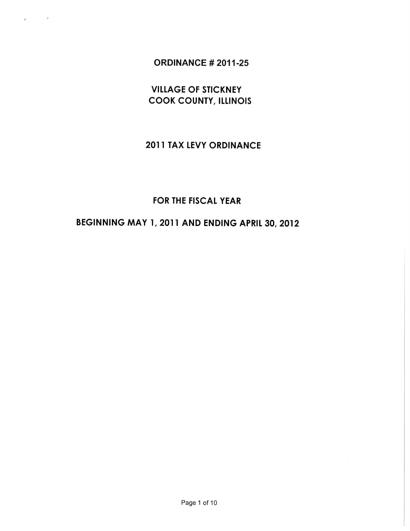**ORDINANCE # 2011-25** 

 $\boldsymbol{x}$ 

**VILLAGE OF STICKNEY COOK COUNTY, ILLINOIS** 

# **2011 TAX LEVY ORDINANCE**

## **FOR THE FISCAL YEAR**

# **BEGINNING MAY 1,2011 AND ENDING APRIL** 30, **2012**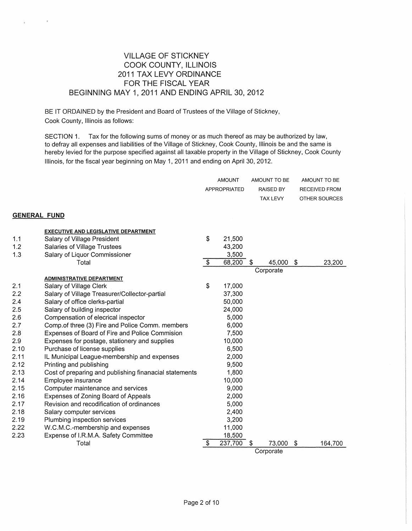#### VILLAGE OF STICKNEY COOK COUNTY, ILLINOIS 2011 TAX LEVY ORDINANCE FOR THE FISCAL YEAR BEGINNING MAY 1, 2011 AND ENDING APRIL 30, 2012

BE IT ORDAINED by the President and Board of Trustees of the Village of Stickney, Cook County, Illinois as follows:

SECTION 1. Tax for the following sums of money or as much thereof as may be authorized by law, to defray all expenses and liabilities of the Village of Stickney, Cook County, Illinois be and the same is hereby levied for the purpose specified against all taxable property in the Village of Stickney, Cook County Illinois, for the fiscal year beginning on May 1, 2011 and ending on April 30, 2012.

|                     |                                                        | <b>AMOUNT</b><br>APPROPRIATED |         | AMOUNT TO BE<br><b>RAISED BY</b><br>TAX LEVY |           | AMOUNT TO BE<br><b>RECEIVED FROM</b><br>OTHER SOURCES |
|---------------------|--------------------------------------------------------|-------------------------------|---------|----------------------------------------------|-----------|-------------------------------------------------------|
| <b>GENERAL FUND</b> |                                                        |                               |         |                                              |           |                                                       |
|                     | <b>EXECUTIVE AND LEGISLATIVE DEPARTMENT</b>            |                               |         |                                              |           |                                                       |
| 1.1                 | Salary of Village President                            | \$                            | 21,500  |                                              |           |                                                       |
| 1.2                 | Salaries of Village Trustees                           |                               | 43,200  |                                              |           |                                                       |
| 1.3                 | Salary of Liquor Commissioner                          |                               | 3,500   |                                              |           |                                                       |
|                     | Total                                                  | $\overline{\mathcal{L}}$      | 68,200  | \$                                           | 45,000    | \$<br>23,200                                          |
|                     |                                                        |                               |         |                                              | Corporate |                                                       |
|                     | <b>ADMINISTRATIVE DEPARTMENT</b>                       |                               |         |                                              |           |                                                       |
| 2.1                 | Salary of Village Clerk                                | \$                            | 17,000  |                                              |           |                                                       |
| 2.2                 | Salary of Village Treasurer/Collector-partial          |                               | 37,300  |                                              |           |                                                       |
| 2.4                 | Salary of office clerks-partial                        |                               | 50,000  |                                              |           |                                                       |
| 2.5                 | Salary of building inspector                           |                               | 24,000  |                                              |           |                                                       |
| 2.6                 | Compensation of elecrical inspector                    |                               | 5,000   |                                              |           |                                                       |
| 2.7                 | Comp.of three (3) Fire and Police Comm. members        |                               | 6,000   |                                              |           |                                                       |
| 2.8                 | Expenses of Board of Fire and Police Commision         |                               | 7,500   |                                              |           |                                                       |
| 2.9                 | Expenses for postage, stationery and supplies          |                               | 10,000  |                                              |           |                                                       |
| 2.10                | Purchase of license supplies                           |                               | 6,500   |                                              |           |                                                       |
| 2.11                | IL Municipal League-membership and expenses            |                               | 2,000   |                                              |           |                                                       |
| 2.12                | Printing and publishing                                |                               | 9,500   |                                              |           |                                                       |
| 2.13                | Cost of preparing and publishing finanacial statements |                               | 1,800   |                                              |           |                                                       |
| 2.14                | Employee insurance                                     |                               | 10,000  |                                              |           |                                                       |
| 2.15                | Computer maintenance and services                      |                               | 9,000   |                                              |           |                                                       |
| 2.16                | Expenses of Zoning Board of Appeals                    |                               | 2,000   |                                              |           |                                                       |
| 2.17                | Revision and recodification of ordinances              |                               | 5,000   |                                              |           |                                                       |
| 2.18                | Salary computer services                               |                               | 2,400   |                                              |           |                                                       |
| 2.19                | Plumbing inspection services                           |                               | 3,200   |                                              |           |                                                       |
| 2.22                | W.C.M.C.-membership and expenses                       |                               | 11,000  |                                              |           |                                                       |
| 2.23                | Expense of I.R.M.A. Safety Committee                   |                               | 18,500  |                                              |           |                                                       |
|                     | Total                                                  | \$                            | 237,700 | S                                            | 73,000    | \$<br>164,700                                         |
|                     |                                                        |                               |         |                                              | Corporate |                                                       |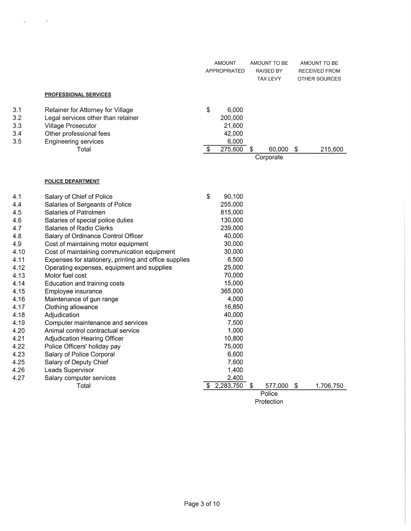|      |                                                       |                          | <b>AMOUNT</b><br><b>APPROPRIATED</b> | AMOUNT TO BE<br><b>RAISED BY</b><br><b>TAX LEVY</b> | AMOUNT TO BE<br>RECEIVED FROM<br>OTHER SOURCES |
|------|-------------------------------------------------------|--------------------------|--------------------------------------|-----------------------------------------------------|------------------------------------------------|
|      | <b>PROFESSIONAL SERVICES</b>                          |                          |                                      |                                                     |                                                |
| 3.1  | Retainer for Attorney for Village                     | \$                       | 6,000                                |                                                     |                                                |
| 3.2  | Legal services other than retainer                    |                          | 200,000                              |                                                     |                                                |
| 3.3  | <b>Village Prosecutor</b>                             |                          | 21,600                               |                                                     |                                                |
| 3.4  | Other professional fees                               |                          | 42,000                               |                                                     |                                                |
| 3.5  | <b>Engineering services</b>                           |                          | 6,000                                |                                                     |                                                |
|      | Total                                                 | \$                       | 275,600                              | \$<br>60,000                                        | \$<br>215,600                                  |
|      |                                                       |                          |                                      | Corporate                                           |                                                |
|      | <b>POLICE DEPARTMENT</b>                              |                          |                                      |                                                     |                                                |
| 4.1  | Salary of Chief of Police                             | \$                       | 90,100                               |                                                     |                                                |
| 4.4  | Salaries of Sergeants of Police                       |                          | 255,000                              |                                                     |                                                |
| 4.5  | Salaries of Patrolmen                                 |                          | 815,000                              |                                                     |                                                |
| 4.6  | Salaries of special police duties                     |                          | 130,000                              |                                                     |                                                |
| 4.7  | Salaries of Radio Clerks                              |                          | 239,000                              |                                                     |                                                |
| 4.8  | Salary of Ordinance Control Officer                   |                          | 40,000                               |                                                     |                                                |
| 4.9  | Cost of maintaining motor equipment                   |                          | 30,000                               |                                                     |                                                |
| 4.10 | Cost of maintaining communication equipment           |                          | 30,000                               |                                                     |                                                |
| 4.11 | Expenses for stationery, printing and office supplies |                          | 6,500                                |                                                     |                                                |
| 4.12 | Operating expenses, equipment and supplies            |                          | 25,000                               |                                                     |                                                |
| 4.13 | Motor fuel cost                                       |                          | 70,000                               |                                                     |                                                |
| 4.14 | Education and training costs                          |                          | 15,000                               |                                                     |                                                |
| 4.15 | Employee insurance                                    |                          | 365,000                              |                                                     |                                                |
| 4.16 | Maintenance of gun range                              |                          | 4,000                                |                                                     |                                                |
| 4.17 | Clothing allowance                                    |                          | 16,850                               |                                                     |                                                |
| 4.18 | Adjudication                                          |                          | 40,000                               |                                                     |                                                |
| 4.19 | Computer maintenance and services                     |                          | 7,500                                |                                                     |                                                |
| 4.20 | Animal control contractual service                    |                          | 1,000                                |                                                     |                                                |
| 4.21 | <b>Adjudication Hearing Officer</b>                   |                          | 10,800                               |                                                     |                                                |
| 4.22 | Police Officers' holiday pay                          |                          | 75,000                               |                                                     |                                                |
| 4.23 | Salary of Police Corporal                             |                          | 6,600                                |                                                     |                                                |
| 4.25 | Salary of Deputy Chief                                |                          | 7,600                                |                                                     |                                                |
| 4.26 | Leads Supervisor                                      |                          | 1,400                                |                                                     |                                                |
| 4.27 | Salary computer services                              |                          | 2,400                                |                                                     |                                                |
|      | Total                                                 | $\overline{\mathcal{S}}$ | 2,283,750                            | S<br>577,000                                        | \$<br>1,706,750                                |

 $\mathcal{U}^{\mathcal{A}}$  . In the set of  $\mathcal{U}^{\mathcal{A}}$ 

 $\bar{a}$ 

 $\overline{\$}$  2,283,750 \$ 577,000 \$ 1,706,750 577,000 \$<br>Police

Protection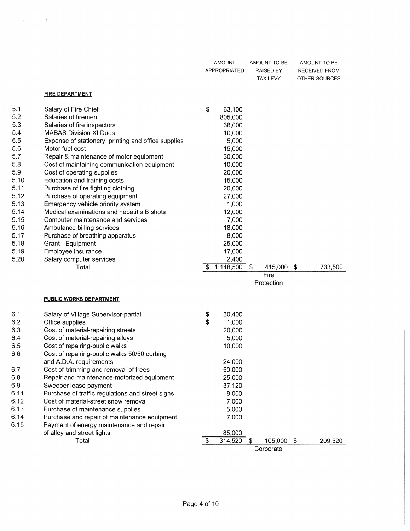|                                                                                             |                                                                                                                                                                                                                                                                                                                                                                                                                                                             |                           | <b>AMOUNT</b><br>APPROPRIATED                                                                                                 |    | AMOUNT TO BE<br>RAISED BY<br>TAX LEVY | AMOUNT TO BE<br>RECEIVED FROM<br>OTHER SOURCES |
|---------------------------------------------------------------------------------------------|-------------------------------------------------------------------------------------------------------------------------------------------------------------------------------------------------------------------------------------------------------------------------------------------------------------------------------------------------------------------------------------------------------------------------------------------------------------|---------------------------|-------------------------------------------------------------------------------------------------------------------------------|----|---------------------------------------|------------------------------------------------|
|                                                                                             | <b>FIRE DEPARTMENT</b>                                                                                                                                                                                                                                                                                                                                                                                                                                      |                           |                                                                                                                               |    |                                       |                                                |
| 5.1<br>5.2<br>5.3<br>5.4<br>5.5<br>5.6<br>5.7<br>5.8<br>5.9<br>5.10<br>5.11<br>5.12<br>5.13 | Salary of Fire Chief<br>Salaries of firemen<br>Salaries of fire inspectors<br><b>MABAS Division XI Dues</b><br>Expense of stationery, printing and office supplies<br>Motor fuel cost<br>Repair & maintenance of motor equipment<br>Cost of maintaining communication equipment<br>Cost of operating supplies<br>Education and training costs<br>Purchase of fire fighting clothing<br>Purchase of operating equipment<br>Emergency vehicle priority system | \$                        | 63,100<br>805,000<br>38,000<br>10,000<br>5,000<br>15,000<br>30,000<br>10,000<br>20,000<br>15,000<br>20,000<br>27,000<br>1,000 |    |                                       |                                                |
| 5.14<br>5.15<br>5.16<br>5.17<br>5.18<br>5.19<br>5.20                                        | Medical examinations and hepatitis B shots<br>Computer maintenance and services<br>Ambulance billing services<br>Purchase of breathing apparatus<br>Grant - Equipment<br>Employee insurance<br>Salary computer services<br>Total                                                                                                                                                                                                                            | \$                        | 12,000<br>7,000<br>18,000<br>8,000<br>25,000<br>17,000<br>2,400<br>1,148,500                                                  | \$ | 415,000                               | \$<br>733,500                                  |
|                                                                                             |                                                                                                                                                                                                                                                                                                                                                                                                                                                             |                           |                                                                                                                               |    | Fire<br>Protection                    |                                                |
|                                                                                             | <b>PUBLIC WORKS DEPARTMENT</b>                                                                                                                                                                                                                                                                                                                                                                                                                              |                           |                                                                                                                               |    |                                       |                                                |
| 6.1<br>6.2<br>6.3<br>6.4<br>6.5<br>6.6<br>6.7                                               | Salary of Village Supervisor-partial<br>Office supplies<br>Cost of material-repairing streets<br>Cost of material-repairing alleys<br>Cost of repairing-public walks<br>Cost of repairing-public walks 50/50 curbing<br>and A.D.A. requirements<br>Cost of-trimming and removal of trees                                                                                                                                                                    | \$<br>\$                  | 30,400<br>1,000<br>20,000<br>5,000<br>10,000<br>24,000<br>50,000                                                              |    |                                       |                                                |
| 6.8<br>6.9<br>6.11<br>6.12<br>6.13<br>6.14<br>6.15                                          | Repair and maintenance-motorized equipment<br>Sweeper lease payment<br>Purchase of traffic regulations and street signs<br>Cost of material-street snow removal<br>Purchase of maintenance supplies<br>Purchase and repair of maintenance equipment<br>Payment of energy maintenance and repair<br>of alley and street lights<br>Total                                                                                                                      | $\boldsymbol{\mathsf{S}}$ | 25,000<br>37,120<br>8,000<br>7,000<br>5,000<br>7,000<br>85,000<br>314,520                                                     | S. | 105,000                               | \$<br>209,520                                  |
|                                                                                             |                                                                                                                                                                                                                                                                                                                                                                                                                                                             |                           |                                                                                                                               |    | Corporate                             |                                                |

 $\label{eq:4} \mathcal{L}_{\mathcal{A}} = \mathcal{L}_{\mathcal{A}} \otimes \mathcal{L}_{\mathcal{A}}$ 

Page 4 of 10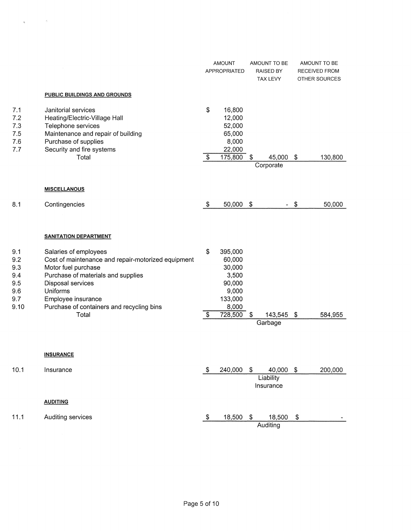|                                                       |                                                                                                                                                                                                                                              |                       | <b>AMOUNT</b><br>APPROPRIATED                                               |            | AMOUNT TO BE<br><b>RAISED BY</b><br>TAX LEVY |                           | AMOUNT TO BE<br>RECEIVED FROM<br>OTHER SOURCES |
|-------------------------------------------------------|----------------------------------------------------------------------------------------------------------------------------------------------------------------------------------------------------------------------------------------------|-----------------------|-----------------------------------------------------------------------------|------------|----------------------------------------------|---------------------------|------------------------------------------------|
|                                                       | <b>PUBLIC BUILDINGS AND GROUNDS</b>                                                                                                                                                                                                          |                       |                                                                             |            |                                              |                           |                                                |
| 7.1<br>7.2<br>7.3<br>7.5<br>7.6<br>7.7                | Janitorial services<br>Heating/Electric-Village Hall<br>Telephone services<br>Maintenance and repair of building<br>Purchase of supplies<br>Security and fire systems<br>Total                                                               | \$<br>$\overline{\$}$ | 16,800<br>12,000<br>52,000<br>65,000<br>8,000<br>22,000<br>175,800          | \$         | 45,000                                       | \$                        | 130,800                                        |
|                                                       |                                                                                                                                                                                                                                              |                       |                                                                             |            | Corporate                                    |                           |                                                |
| 8.1                                                   | <b>MISCELLANOUS</b><br>Contingencies                                                                                                                                                                                                         | \$                    | 50,000                                                                      | \$         | $\sim$                                       | \$                        | 50,000                                         |
|                                                       | <b>SANITATION DEPARTMENT</b>                                                                                                                                                                                                                 |                       |                                                                             |            |                                              |                           |                                                |
| 9.1<br>9.2<br>9.3<br>9.4<br>9.5<br>9.6<br>9.7<br>9.10 | Salaries of employees<br>Cost of maintenance and repair-motorized equipment<br>Motor fuel purchase<br>Purchase of materials and supplies<br>Disposal services<br>Uniforms<br>Employee insurance<br>Purchase of containers and recycling bins | \$                    | 395,000<br>60,000<br>30,000<br>3,500<br>90,000<br>9,000<br>133,000<br>8,000 |            |                                              |                           |                                                |
|                                                       | Total                                                                                                                                                                                                                                        | \$                    | 728,500                                                                     | $\sqrt{2}$ | 143,545                                      | $\boldsymbol{\mathsf{S}}$ | 584,955                                        |
|                                                       | <b>INSURANCE</b>                                                                                                                                                                                                                             |                       |                                                                             |            | Garbage                                      |                           |                                                |
| 10.1                                                  | Insurance                                                                                                                                                                                                                                    | \$                    | 240,000                                                                     | \$         | 40,000<br>Liability                          | \$                        | 200,000                                        |
|                                                       |                                                                                                                                                                                                                                              |                       |                                                                             |            | Insurance                                    |                           |                                                |
|                                                       | <b>AUDITING</b>                                                                                                                                                                                                                              |                       |                                                                             |            |                                              |                           |                                                |
| 11.1                                                  | Auditing services                                                                                                                                                                                                                            | $\mathfrak s$         | 18,500                                                                      | \$         | 18,500<br>Auditing                           | $\pmb{\mathfrak{P}}$      |                                                |
|                                                       |                                                                                                                                                                                                                                              |                       |                                                                             |            |                                              |                           |                                                |

 $\label{eq:12} \mathbf{q} = \left( \begin{array}{cc} 0 & \mathbf{0} & \mathbf{0} \\ \mathbf{0} & \mathbf{0} & \mathbf{0} \end{array} \right)$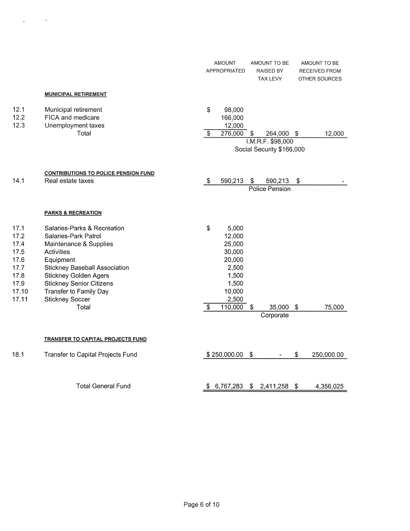|                                                                                |                                                                                                                                                                                                                                                                                  | <b>AMOUNT</b><br>APPROPRIATED                                                                                                            | AMOUNT TO BE<br>RAISED BY<br>TAX LEVY                             | AMOUNT TO BE<br><b>RECEIVED FROM</b><br>OTHER SOURCES |  |
|--------------------------------------------------------------------------------|----------------------------------------------------------------------------------------------------------------------------------------------------------------------------------------------------------------------------------------------------------------------------------|------------------------------------------------------------------------------------------------------------------------------------------|-------------------------------------------------------------------|-------------------------------------------------------|--|
|                                                                                | <b>MUNICIPAL RETIREMENT</b>                                                                                                                                                                                                                                                      |                                                                                                                                          |                                                                   |                                                       |  |
| 12.1<br>12.2<br>12.3                                                           | Municipal retirement<br>FICA and medicare<br>Unemployment taxes<br>Total                                                                                                                                                                                                         | \$<br>98,000<br>166,000<br>12,000<br>$\overline{\$}$<br>276,000                                                                          | S<br>264,000 \$<br>I.M.R.F. \$98,000<br>Social Security \$166,000 | 12,000                                                |  |
| 14.1                                                                           | <b>CONTRIBUTIONS TO POLICE PENSION FUND</b><br>Real estate taxes                                                                                                                                                                                                                 | \$<br>590,213                                                                                                                            | 590,213<br>\$<br>Police Pension                                   | \$                                                    |  |
|                                                                                | <b>PARKS &amp; RECREATION</b>                                                                                                                                                                                                                                                    |                                                                                                                                          |                                                                   |                                                       |  |
| 17.1<br>17.2<br>17.4<br>17.5<br>17.6<br>17.7<br>17.8<br>17.9<br>17.10<br>17.11 | Salaries-Parks & Recreation<br>Salaries-Park Patrol<br>Maintenance & Supplies<br>Activities<br>Equipment<br><b>Stickney Baseball Association</b><br><b>Stickney Golden Agers</b><br><b>Stickney Senior Citizens</b><br>Transfer to Family Day<br><b>Stickney Soccer</b><br>Total | \$<br>5,000<br>12,000<br>25,000<br>30,000<br>20,000<br>2,500<br>1,500<br>1,500<br>10,000<br>2,500<br>$\overline{\mathcal{S}}$<br>110,000 | $\boldsymbol{\mathsf{S}}$<br>35,000<br>Corporate                  | \$<br>75,000                                          |  |
|                                                                                | <b>TRANSFER TO CAPITAL PROJECTS FUND</b>                                                                                                                                                                                                                                         |                                                                                                                                          |                                                                   |                                                       |  |
| 18.1                                                                           | Transfer to Capital Projects Fund                                                                                                                                                                                                                                                | \$250,000.00                                                                                                                             | \$                                                                | \$<br>250,000.00                                      |  |
|                                                                                | <b>Total General Fund</b>                                                                                                                                                                                                                                                        | \$<br>6,767,283                                                                                                                          | \$2,411,258                                                       | 4,356,025<br>\$                                       |  |

 $\label{eq:3.1} \Phi_{\alpha\beta} = \frac{1}{\alpha} \left[ \begin{array}{cc} \frac{1}{\alpha} & \frac{1}{\alpha} & \frac{1}{\alpha} \\ \frac{1}{\alpha} & \frac{1}{\alpha} & \frac{1}{\alpha} \\ \frac{1}{\alpha} & \frac{1}{\alpha} & \frac{1}{\alpha} \end{array} \right]$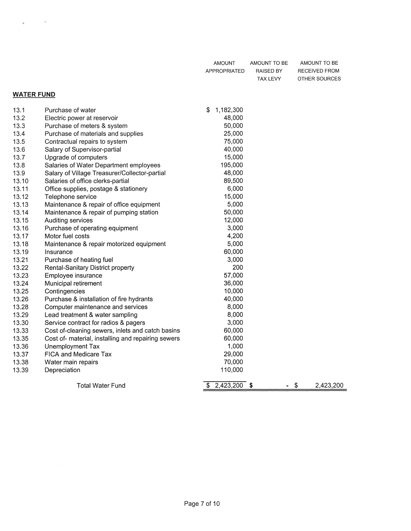| AMOUNT       | AMOUNT TO BE    | AMOUNT TO BE  |
|--------------|-----------------|---------------|
| APPROPRIATED | RAISED BY       | RECEIVED FROM |
|              | <b>TAX LEVY</b> | OTHER SOURCES |

### **WATER** FUND

 $\mathbf{y} = \left( \begin{smallmatrix} 1 & 0 & 0 \\ 0 & 0 & 0 \\ 0 & 0 & 0 \\ 0 & 0 & 0 \\ 0 & 0 & 0 \\ 0 & 0 & 0 \\ 0 & 0 & 0 \\ 0 & 0 & 0 \\ 0 & 0 & 0 \\ 0 & 0 & 0 \\ 0 & 0 & 0 \\ 0 & 0 & 0 & 0 \\ 0 & 0 & 0 & 0 \\ 0 & 0 & 0 & 0 \\ 0 & 0 & 0 & 0 & 0 \\ 0 & 0 & 0 & 0 & 0 \\ 0 & 0 & 0 & 0 & 0 \\ 0 & 0 & 0 & 0 & 0 \\ 0 & 0 & 0 &$ 

| 13.1  | Purchase of water                                  | \$<br>1,182,300      |                 |
|-------|----------------------------------------------------|----------------------|-----------------|
| 13.2  | Electric power at reservoir                        | 48,000               |                 |
| 13.3  | Purchase of meters & system                        | 50,000               |                 |
| 13.4  | Purchase of materials and supplies                 | 25,000               |                 |
| 13.5  | Contractual repairs to system                      | 75,000               |                 |
| 13.6  | Salary of Supervisor-partial                       | 40,000               |                 |
| 13.7  | Upgrade of computers                               | 15,000               |                 |
| 13.8  | Salaries of Water Department employees             | 195,000              |                 |
| 13.9  | Salary of Village Treasurer/Collector-partial      | 48,000               |                 |
| 13.10 | Salaries of office clerks-partial                  | 89,500               |                 |
| 13.11 | Office supplies, postage & stationery              | 6,000                |                 |
| 13.12 | Telephone service                                  | 15,000               |                 |
| 13.13 | Maintenance & repair of office equipment           | 5,000                |                 |
| 13.14 | Maintenance & repair of pumping station            | 50,000               |                 |
| 13.15 | Auditing services                                  | 12,000               |                 |
| 13.16 | Purchase of operating equipment                    | 3,000                |                 |
| 13.17 | Motor fuel costs                                   | 4,200                |                 |
| 13.18 | Maintenance & repair motorized equipment           | 5,000                |                 |
| 13.19 | Insurance                                          | 60,000               |                 |
| 13.21 | Purchase of heating fuel                           | 3,000                |                 |
| 13.22 | Rental-Sanitary District property                  | 200                  |                 |
| 13.23 | Employee insurance                                 | 57,000               |                 |
| 13.24 | Municipal retirement                               | 36,000               |                 |
| 13.25 | Contingencies                                      | 10,000               |                 |
| 13.26 | Purchase & installation of fire hydrants           | 40,000               |                 |
| 13.28 | Computer maintenance and services                  | 8,000                |                 |
| 13.29 | Lead treatment & water sampling                    | 8,000                |                 |
| 13.30 | Service contract for radios & pagers               | 3,000                |                 |
| 13.33 | Cost of-cleaning sewers, inlets and catch basins   | 60,000               |                 |
| 13.35 | Cost of- material, installing and repairing sewers | 60,000               |                 |
| 13.36 | Unemployment Tax                                   | 1,000                |                 |
| 13.37 | <b>FICA and Medicare Tax</b>                       | 29,000               |                 |
| 13.38 | Water main repairs                                 | 70,000               |                 |
| 13.39 | Depreciation                                       | 110,000              |                 |
|       | <b>Total Water Fund</b>                            | $2,423,200$ \$<br>\$ | \$<br>2,423,200 |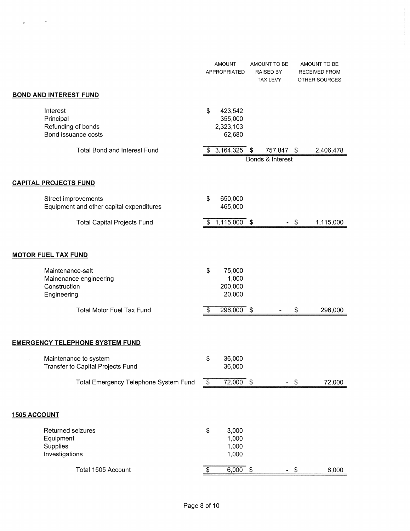|                                                                                                                                               |                 | <b>AMOUNT</b><br>APPROPRIATED             | AMOUNT TO BE<br><b>RAISED BY</b><br><b>TAX LEVY</b> |        | AMOUNT TO BE<br>RECEIVED FROM<br>OTHER SOURCES |
|-----------------------------------------------------------------------------------------------------------------------------------------------|-----------------|-------------------------------------------|-----------------------------------------------------|--------|------------------------------------------------|
| <b>BOND AND INTEREST FUND</b>                                                                                                                 |                 |                                           |                                                     |        |                                                |
| Interest<br>Principal<br>Refunding of bonds<br>Bond issuance costs                                                                            | \$              | 423,542<br>355,000<br>2,323,103<br>62,680 |                                                     |        |                                                |
| <b>Total Bond and Interest Fund</b>                                                                                                           | \$.             | 3,164,325                                 | \$<br>757,847 \$                                    |        | 2,406,478                                      |
|                                                                                                                                               |                 |                                           | Bonds & Interest                                    |        |                                                |
| <b>CAPITAL PROJECTS FUND</b>                                                                                                                  |                 |                                           |                                                     |        |                                                |
| Street improvements<br>Equipment and other capital expenditures                                                                               | \$              | 650,000<br>465,000                        |                                                     |        |                                                |
| <b>Total Capital Projects Fund</b>                                                                                                            | \$              | $1,115,000$ \$                            |                                                     | - \$   | 1,115,000                                      |
| <b>MOTOR FUEL TAX FUND</b><br>Maintenance-salt<br>Mainenance engineering<br>Construction<br>Engineering                                       | \$              | 75,000<br>1,000<br>200,000<br>20,000      |                                                     |        |                                                |
| <b>Total Motor Fuel Tax Fund</b>                                                                                                              | S               | 296,000                                   | \$                                                  | \$     | 296,000                                        |
| <b>EMERGENCY TELEPHONE SYSTEM FUND</b><br>Maintenance to system<br>Transfer to Capital Projects Fund<br>Total Emergency Telephone System Fund | \$<br>\$        | 36,000<br>36,000<br>$72,000$ \$           |                                                     | $-$ \$ | 72,000                                         |
|                                                                                                                                               |                 |                                           |                                                     |        |                                                |
| <b>1505 ACCOUNT</b>                                                                                                                           |                 |                                           |                                                     |        |                                                |
| Returned seizures<br>Equipment<br>Supplies<br>Investigations                                                                                  | \$              | 3,000<br>1,000<br>1,000<br>1,000          |                                                     |        |                                                |
| Total 1505 Account                                                                                                                            | $\overline{\$}$ | $6,000$ \$                                |                                                     | - \$   | 6,000                                          |

 $\label{eq:1} \Phi_{\alpha\beta} = \frac{1}{\alpha} \left[ \frac{1}{\alpha} \frac{\partial \phi}{\partial \phi} \right] \, ,$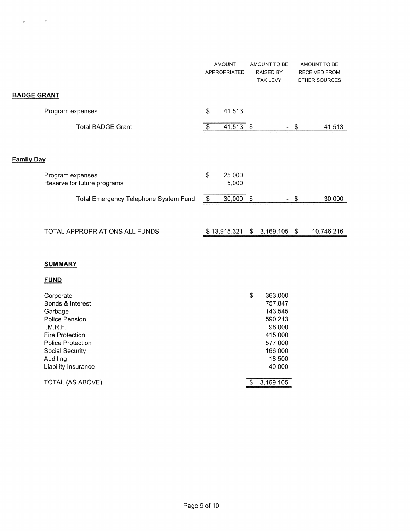|                                                 | <b>AMOUNT</b><br>APPROPRIATED |                 | AMOUNT TO BE<br><b>RAISED BY</b><br>TAX LEVY |    | AMOUNT TO BE<br>RECEIVED FROM<br>OTHER SOURCES |
|-------------------------------------------------|-------------------------------|-----------------|----------------------------------------------|----|------------------------------------------------|
| <b>BADGE GRANT</b>                              |                               |                 |                                              |    |                                                |
| Program expenses                                | \$                            | 41,513          |                                              |    |                                                |
| <b>Total BADGE Grant</b>                        | S                             | $41,513$ \$     | $\blacksquare$                               | \$ | 41,513                                         |
|                                                 |                               |                 |                                              |    |                                                |
| <b>Family Day</b>                               |                               |                 |                                              |    |                                                |
| Program expenses<br>Reserve for future programs | \$                            | 25,000<br>5,000 |                                              |    |                                                |
| Total Emergency Telephone System Fund           | \$                            | $30,000$ \$     |                                              |    | 30,000                                         |
|                                                 |                               |                 |                                              |    |                                                |
| TOTAL APPROPRIATIONS ALL FUNDS                  |                               | \$13,915,321    | \$3,169,105                                  | -S | 10,746,216                                     |

#### **SUMMARY**

## **FUND**

| Corporate<br>Bonds & Interest<br>Garbage<br>Police Pension<br>I.M.R.F.<br><b>Fire Protection</b><br><b>Police Protection</b><br>Social Security | \$<br>363,000<br>757,847<br>143,545<br>590,213<br>98,000<br>415,000<br>577,000<br>166,000 |  |
|-------------------------------------------------------------------------------------------------------------------------------------------------|-------------------------------------------------------------------------------------------|--|
| Auditing<br>Liability Insurance                                                                                                                 | 18,500<br>40,000                                                                          |  |
| TOTAL (AS ABOVE)                                                                                                                                | \$<br>3,169,105                                                                           |  |